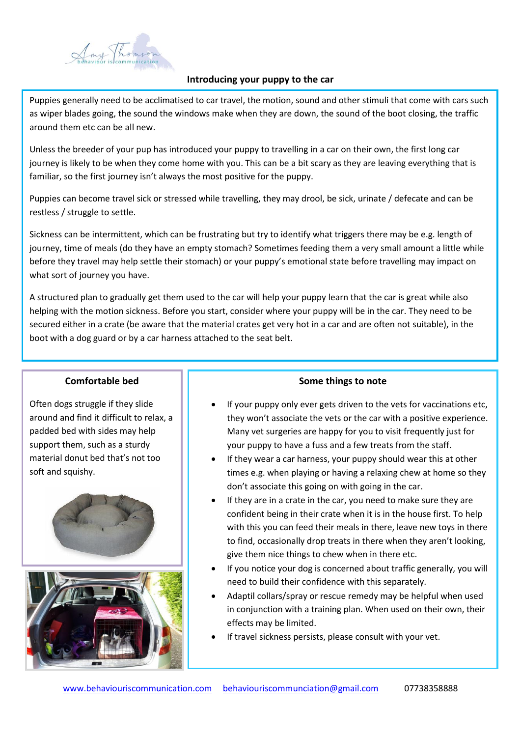

# **Introducing your puppy to the car**

Puppies generally need to be acclimatised to car travel, the motion, sound and other stimuli that come with cars such as wiper blades going, the sound the windows make when they are down, the sound of the boot closing, the traffic around them etc can be all new.

Unless the breeder of your pup has introduced your puppy to travelling in a car on their own, the first long car journey is likely to be when they come home with you. This can be a bit scary as they are leaving everything that is familiar, so the first journey isn't always the most positive for the puppy.

Puppies can become travel sick or stressed while travelling, they may drool, be sick, urinate / defecate and can be restless / struggle to settle.

Sickness can be intermittent, which can be frustrating but try to identify what triggers there may be e.g. length of journey, time of meals (do they have an empty stomach? Sometimes feeding them a very small amount a little while before they travel may help settle their stomach) or your puppy's emotional state before travelling may impact on what sort of journey you have.

A structured plan to gradually get them used to the car will help your puppy learn that the car is great while also helping with the motion sickness. Before you start, consider where your puppy will be in the car. They need to be secured either in a crate (be aware that the material crates get very hot in a car and are often not suitable), in the boot with a dog guard or by a car harness attached to the seat belt.

## **Comfortable bed**

Often dogs struggle if they slide around and find it difficult to relax, a padded bed with sides may help support them, such as a sturdy material donut bed that's not too soft and squishy.





## **Some things to note**

- If your puppy only ever gets driven to the vets for vaccinations etc, they won't associate the vets or the car with a positive experience. Many vet surgeries are happy for you to visit frequently just for your puppy to have a fuss and a few treats from the staff.
- If they wear a car harness, your puppy should wear this at other times e.g. when playing or having a relaxing chew at home so they don't associate this going on with going in the car.
- If they are in a crate in the car, you need to make sure they are confident being in their crate when it is in the house first. To help with this you can feed their meals in there, leave new toys in there to find, occasionally drop treats in there when they aren't looking, give them nice things to chew when in there etc.
- If you notice your dog is concerned about traffic generally, you will need to build their confidence with this separately.
- Adaptil collars/spray or rescue remedy may be helpful when used in conjunction with a training plan. When used on their own, their effects may be limited.
- If travel sickness persists, please consult with your vet.